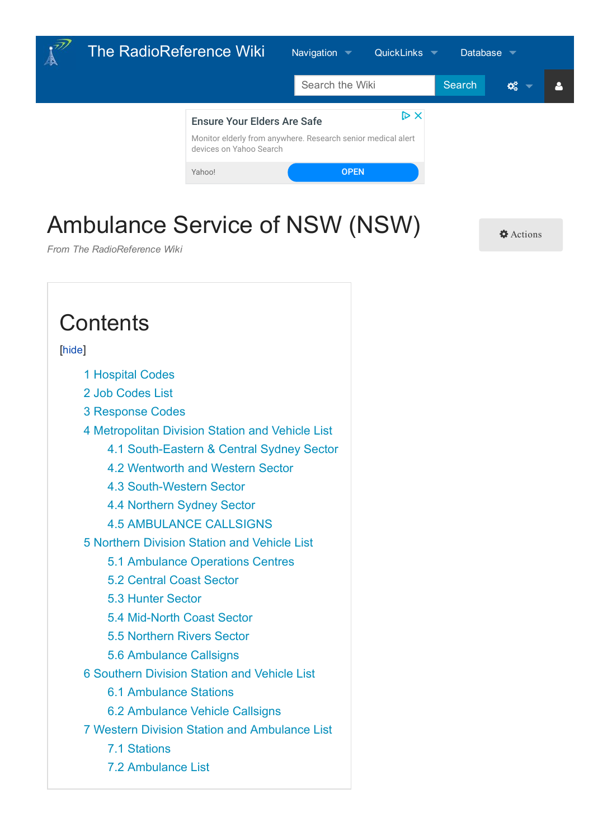<span id="page-0-0"></span>

## Ambulance Service of [NSW](https://wiki.radioreference.com/index.php/The_RadioReference_Wiki:Searching) ([NSW\)](https://www.radioreference.com/apps/contact)

[Actions](#page-0-0)

*From The RadioReference Wiki*

#### **Contents**

#### [hide]

- [1](#page-1-0) Hospital Codes
- [2](#page-1-1) Job Codes List
- [3](#page-2-0) Response Codes
- [4](#page-2-1) Metropolitan Division Station and Vehicle List
	- [4.1](#page-3-0) South-Eastern & Central Sydney Sector
	- [4.2](#page-3-1) Wentworth and Western Sector
	- [4.3](#page-3-2) South-Western Sector
	- [4.4](#page-4-0) Northern Sydney Sector
	- [4.5](#page-4-1) AMBULANCE CALLSIGNS
- [5](#page-14-0) Northern Division Station and Vehicle List
	- [5.1](#page-14-1) Ambulance Operations Centres
	- [5.2](#page-14-2) Central Coast Sector
	- [5.3](#page-14-3) Hunter Sector
	- [5.4](#page-15-0) Mid-North Coast Sector
	- [5.5](#page-16-0) Northern Rivers Sector
	- [5.6](#page-16-1) Ambulance Callsigns
- [6](#page-22-0) Southern Division Station and Vehicle List
	- [6.1](#page-22-1) Ambulance Stations
	- [6.2](#page-24-0) Ambulance Vehicle Callsigns
- [7](#page-26-0) Western Division Station and Ambulance List
	- [7.1](#page-26-1) Stations
	- [7.2](#page-28-0) Ambulance List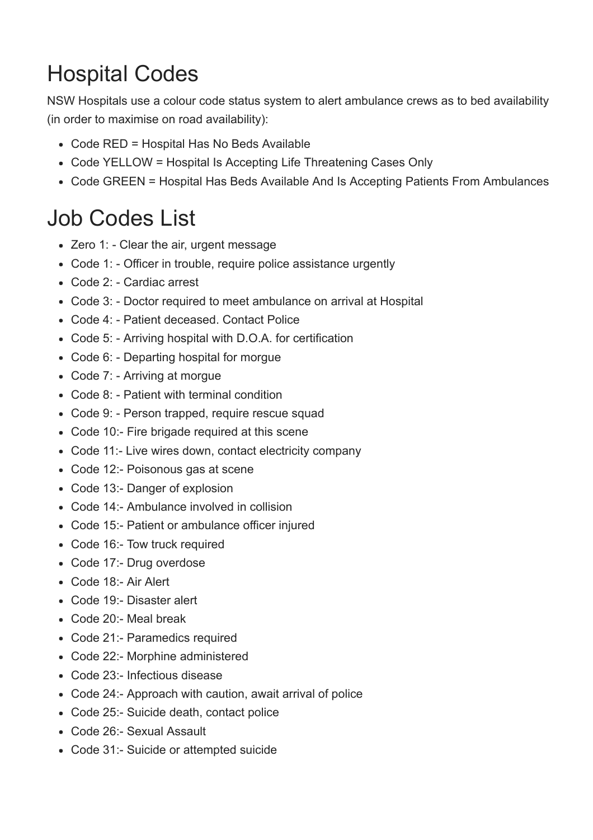# <span id="page-1-0"></span>Hospital Codes

NSW Hospitals use a colour code status system to alert ambulance crews as to bed availability (in order to maximise on road availability):

- Code RED = Hospital Has No Beds Available
- Code YELLOW = Hospital Is Accepting Life Threatening Cases Only
- Code GREEN = Hospital Has Beds Available And Is Accepting Patients From Ambulances

### <span id="page-1-1"></span>Job Codes List

- Zero 1: Clear the air, urgent message
- Code 1: Officer in trouble, require police assistance urgently
- Code 2: Cardiac arrest
- Code 3: Doctor required to meet ambulance on arrival at Hospital
- Code 4: Patient deceased. Contact Police
- Code 5: Arriving hospital with D.O.A. for certification
- Code 6: Departing hospital for morgue
- Code 7: Arriving at morgue
- Code 8: Patient with terminal condition
- Code 9: Person trapped, require rescue squad
- Code 10:- Fire brigade required at this scene
- Code 11:- Live wires down, contact electricity company
- Code 12:- Poisonous gas at scene
- Code 13:- Danger of explosion
- Code 14:- Ambulance involved in collision
- Code 15:- Patient or ambulance officer injured
- Code 16:- Tow truck required
- Code 17:- Drug overdose
- Code 18:- Air Alert
- Code 19: Disaster alert
- Code 20: Meal break
- Code 21:- Paramedics required
- Code 22:- Morphine administered
- Code 23: Infectious disease
- Code 24:- Approach with caution, await arrival of police
- Code 25:- Suicide death, contact police
- Code 26: Sexual Assault
- Code 31: Suicide or attempted suicide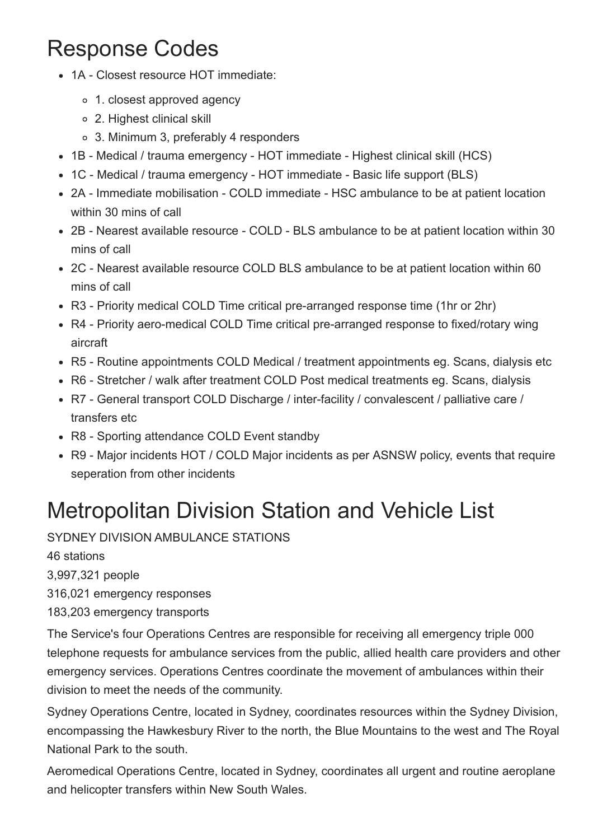### <span id="page-2-0"></span>Response Codes

- 1A Closest resource HOT immediate:
	- 1. closest approved agency
	- 2. Highest clinical skill
	- 3. Minimum 3, preferably 4 responders
- 1B Medical / trauma emergency HOT immediate Highest clinical skill (HCS)
- 1C Medical / trauma emergency HOT immediate Basic life support (BLS)
- 2A Immediate mobilisation COLD immediate HSC ambulance to be at patient location within 30 mins of call
- 2B Nearest available resource COLD BLS ambulance to be at patient location within 30 mins of call
- 2C Nearest available resource COLD BLS ambulance to be at patient location within 60 mins of call
- R3 Priority medical COLD Time critical pre-arranged response time (1hr or 2hr)
- R4 Priority aero-medical COLD Time critical pre-arranged response to fixed/rotary wing aircraft
- R5 Routine appointments COLD Medical / treatment appointments eg. Scans, dialysis etc
- R6 Stretcher / walk after treatment COLD Post medical treatments eg. Scans, dialysis
- R7 General transport COLD Discharge / inter-facility / convalescent / palliative care / transfers etc
- R8 Sporting attendance COLD Event standby
- R9 Major incidents HOT / COLD Major incidents as per ASNSW policy, events that require seperation from other incidents

## <span id="page-2-1"></span>Metropolitan Division Station and Vehicle List

SYDNEY DIVISION AMBULANCE STATIONS

46 stations

3,997,321 people

316,021 emergency responses

183,203 emergency transports

The Service's four Operations Centres are responsible for receiving all emergency triple 000 telephone requests for ambulance services from the public, allied health care providers and other emergency services. Operations Centres coordinate the movement of ambulances within their division to meet the needs of the community.

Sydney Operations Centre, located in Sydney, coordinates resources within the Sydney Division, encompassing the Hawkesbury River to the north, the Blue Mountains to the west and The Royal National Park to the south.

Aeromedical Operations Centre, located in Sydney, coordinates all urgent and routine aeroplane and helicopter transfers within New South Wales.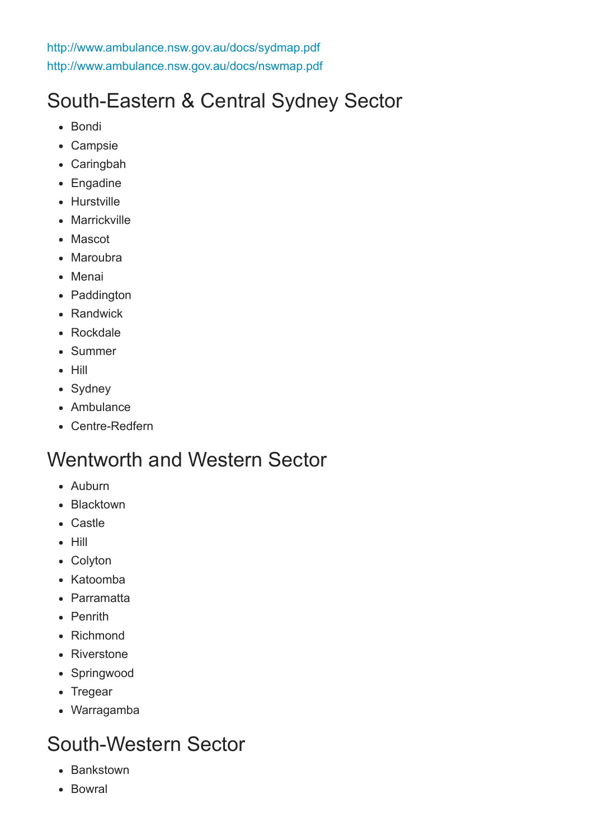<http://www.ambulance.nsw.gov.au/docs/sydmap.pdf> <http://www.ambulance.nsw.gov.au/docs/nswmap.pdf>

### <span id="page-3-0"></span>South-Eastern & Central Sydney Sector

- Bondi
- Campsie
- Caringbah
- Engadine
- Hurstville
- Marrickville
- Mascot
- Maroubra
- Menai
- Paddington
- Randwick
- Rockdale
- Summer
- Hill
- Sydney
- Ambulance
- Centre-Redfern

#### <span id="page-3-1"></span>Wentworth and Western Sector

- Auburn
- Blacktown
- Castle
- $-$  Hill
- Colyton
- Katoomba
- Parramatta
- Penrith
- Richmond
- Riverstone
- Springwood
- Tregear
- Warragamba

#### <span id="page-3-2"></span>South-Western Sector

- Bankstown
- Bowral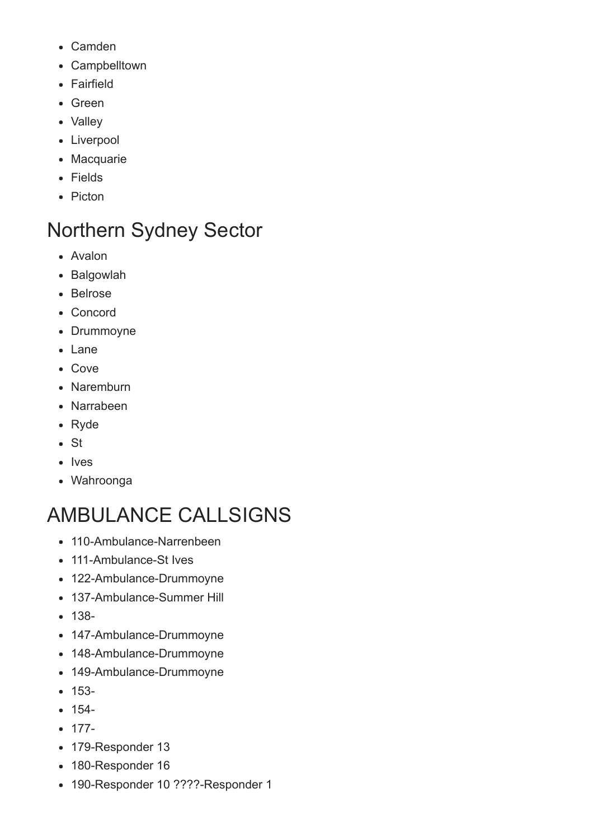- Camden
- Campbelltown
- Fairfield
- Green
- Valley
- Liverpool
- Macquarie
- Fields
- Picton

### <span id="page-4-0"></span>Northern Sydney Sector

- Avalon
- Balgowlah
- Belrose
- Concord
- Drummoyne
- Lane
- Cove
- Naremburn
- Narrabeen
- Ryde
- $\bullet$  St
- Ives
- Wahroonga

## <span id="page-4-1"></span>AMBULANCE CALLSIGNS

- 110-Ambulance-Narrenbeen
- 111-Ambulance-St Ives
- 122-Ambulance-Drummoyne
- 137-Ambulance-Summer Hill
- $138 -$
- 147-Ambulance-Drummoyne
- 148-Ambulance-Drummoyne
- 149-Ambulance-Drummoyne
- $153-$
- $154 -$
- $177-$
- 179-Responder 13
- 180-Responder 16
- 190-Responder 10 ????-Responder 1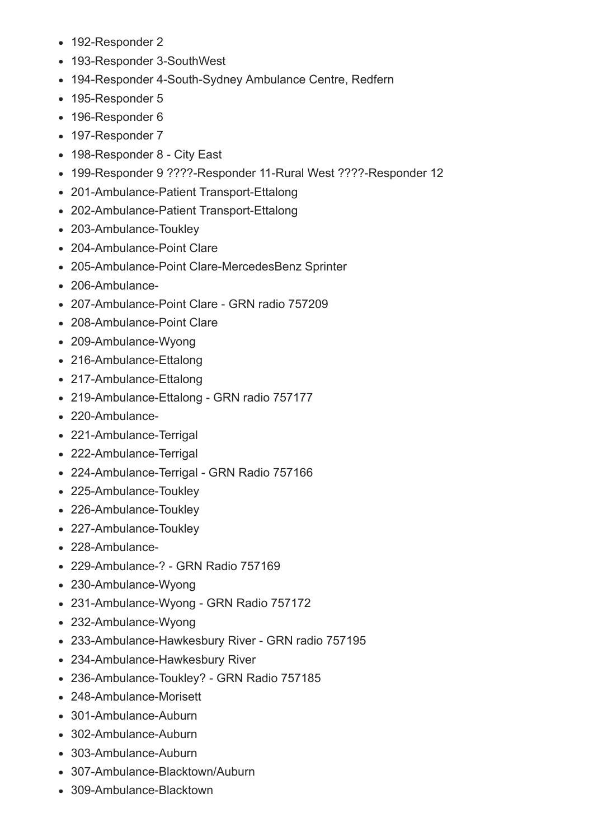- 192-Responder 2
- 193-Responder 3-SouthWest
- 194-Responder 4-South-Sydney Ambulance Centre, Redfern
- 195-Responder 5
- 196-Responder 6
- 197-Responder 7
- 198-Responder 8 City East
- 199-Responder 9 ????-Responder 11-Rural West ????-Responder 12
- 201-Ambulance-Patient Transport-Ettalong
- 202-Ambulance-Patient Transport-Ettalong
- 203-Ambulance-Toukley
- 204-Ambulance-Point Clare
- 205-Ambulance-Point Clare-MercedesBenz Sprinter
- 206-Ambulance-
- 207-Ambulance-Point Clare GRN radio 757209
- 208-Ambulance-Point Clare
- 209-Ambulance-Wyong
- 216-Ambulance-Ettalong
- 217-Ambulance-Ettalong
- 219-Ambulance-Ettalong GRN radio 757177
- 220-Ambulance-
- 221-Ambulance-Terrigal
- 222-Ambulance-Terrigal
- 224-Ambulance-Terrigal GRN Radio 757166
- 225-Ambulance-Toukley
- 226-Ambulance-Toukley
- 227-Ambulance-Toukley
- 228-Ambulance-
- 229-Ambulance-2 GRN Radio 757169
- 230-Ambulance-Wyong
- 231-Ambulance-Wyong GRN Radio 757172
- 232-Ambulance-Wyong
- 233-Ambulance-Hawkesbury River GRN radio 757195
- 234-Ambulance-Hawkesbury River
- 236-Ambulance-Toukley? GRN Radio 757185
- 248-Ambulance-Morisett
- 301-Ambulance-Auburn
- 302-Ambulance-Auburn
- 303-Ambulance-Auburn
- 307-Ambulance-Blacktown/Auburn
- $\bullet$  309-Ambulance-Blacktown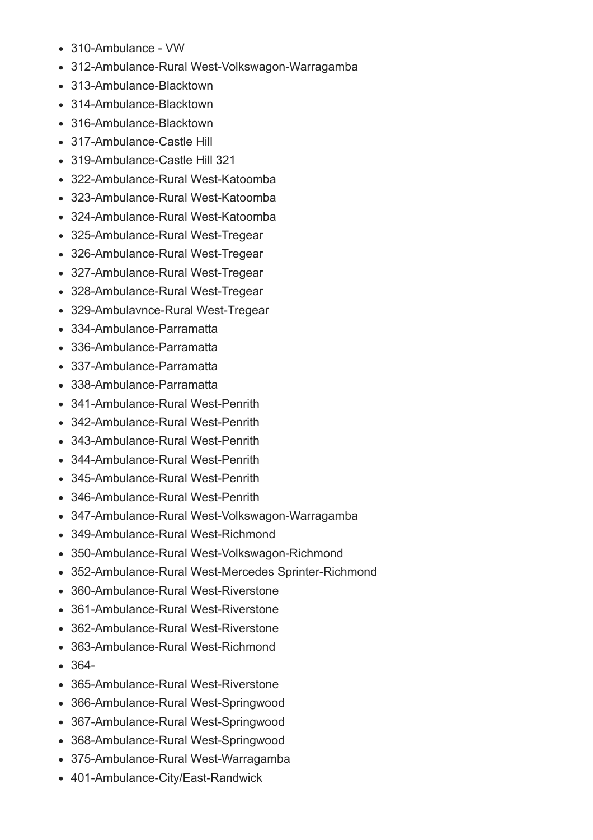- 310-Ambulance VW
- 312-Ambulance-Rural West-Volkswagon-Warragamba
- 313-Ambulance-Blacktown
- 314-Ambulance-Blacktown
- 316-Ambulance-Blacktown
- 317-Ambulance-Castle Hill
- 319-Ambulance-Castle Hill 321
- 322-Ambulance-Rural West-Katoomba
- 323-Ambulance-Rural West-Katoomba
- 324-Ambulance-Rural West-Katoomba
- 325-Ambulance-Rural West-Tregear
- 326-Ambulance-Rural West-Tregear
- 327-Ambulance-Rural West-Tregear
- 328-Ambulance-Rural West-Tregear
- 329-Ambulavnce-Rural West-Tregear
- 334-Ambulance-Parramatta
- 336-Ambulance-Parramatta
- 337-Ambulance-Parramatta
- 338-Ambulance-Parramatta
- 341-Ambulance-Rural West-Penrith
- 342-Ambulance-Rural West-Penrith
- 343-Ambulance-Rural West-Penrith
- 344-Ambulance-Rural West-Penrith
- 345-Ambulance-Rural West-Penrith
- 346-Ambulance-Rural West-Penrith
- 347-Ambulance-Rural West-Volkswagon-Warragamba
- 349-Ambulance-Rural West-Richmond
- 350-Ambulance-Rural West-Volkswagon-Richmond
- 352-Ambulance-Rural West-Mercedes Sprinter-Richmond
- 360-Ambulance-Rural West-Riverstone
- 361-Ambulance-Rural West-Riverstone
- 362-Ambulance-Rural West-Riverstone
- 363-Ambulance-Rural West-Richmond
- $-364-$
- 365-Ambulance-Rural West-Riverstone
- 366-Ambulance-Rural West-Springwood
- 367-Ambulance-Rural West-Springwood
- 368-Ambulance-Rural West-Springwood
- 375-Ambulance-Rural West-Warragamba
- 401-Ambulance-City/East-Randwick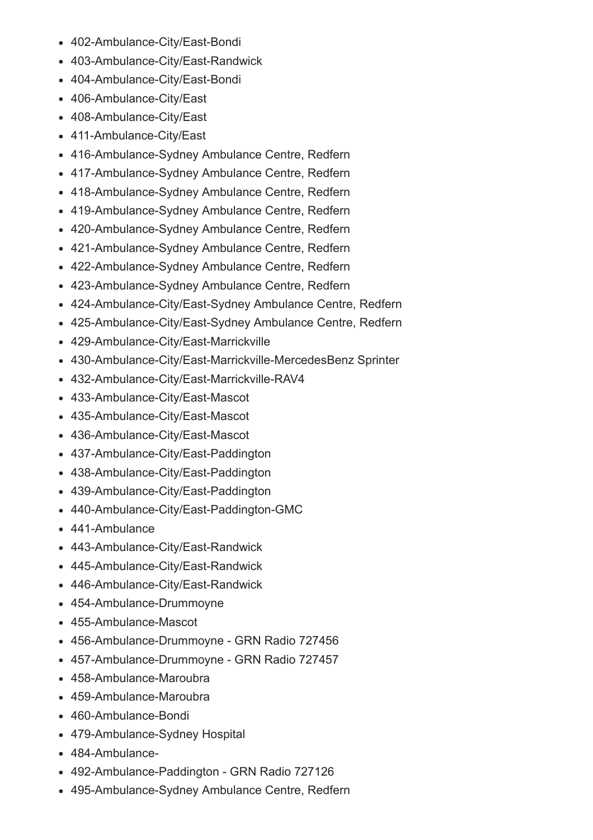- 402-Ambulance-City/East-Bondi
- 403-Ambulance-City/East-Randwick
- 404-Ambulance-City/East-Bondi
- 406-Ambulance-City/East
- 408-Ambulance-City/East
- 411-Ambulance-City/East
- 416-Ambulance-Sydney Ambulance Centre, Redfern
- 417-Ambulance-Sydney Ambulance Centre, Redfern
- 418-Ambulance-Sydney Ambulance Centre, Redfern
- 419-Ambulance-Sydney Ambulance Centre, Redfern
- 420-Ambulance-Sydney Ambulance Centre, Redfern
- 421-Ambulance-Sydney Ambulance Centre, Redfern
- 422-Ambulance-Sydney Ambulance Centre, Redfern
- 423-Ambulance-Sydney Ambulance Centre, Redfern
- 424-Ambulance-City/East-Sydney Ambulance Centre, Redfern
- 425-Ambulance-City/East-Sydney Ambulance Centre, Redfern
- 429-Ambulance-City/East-Marrickville
- 430-Ambulance-City/East-Marrickville-MercedesBenz Sprinter
- 432-Ambulance-City/East-Marrickville-RAV4
- 433-Ambulance-City/East-Mascot
- 435-Ambulance-City/East-Mascot
- 436-Ambulance-City/East-Mascot
- 437-Ambulance-City/East-Paddington
- 438-Ambulance-City/East-Paddington
- 439-Ambulance-City/East-Paddington
- 440-Ambulance-City/East-Paddington-GMC
- 441-Ambulance
- 443-Ambulance-City/East-Randwick
- 445-Ambulance-City/East-Randwick
- 446-Ambulance-City/East-Randwick
- 454-Ambulance-Drummoyne
- 455-Ambulance-Mascot
- 456-Ambulance-Drummoyne GRN Radio 727456
- 457-Ambulance-Drummoyne GRN Radio 727457
- $-458$ -Ambulance-Maroubra
- 459-Ambulance-Maroubra
- 460-Ambulance-Bondi
- 479-Ambulance-Sydney Hospital
- 484Ambulance-
- 492-Ambulance-Paddington GRN Radio 727126
- 495-Ambulance-Sydney Ambulance Centre, Redfern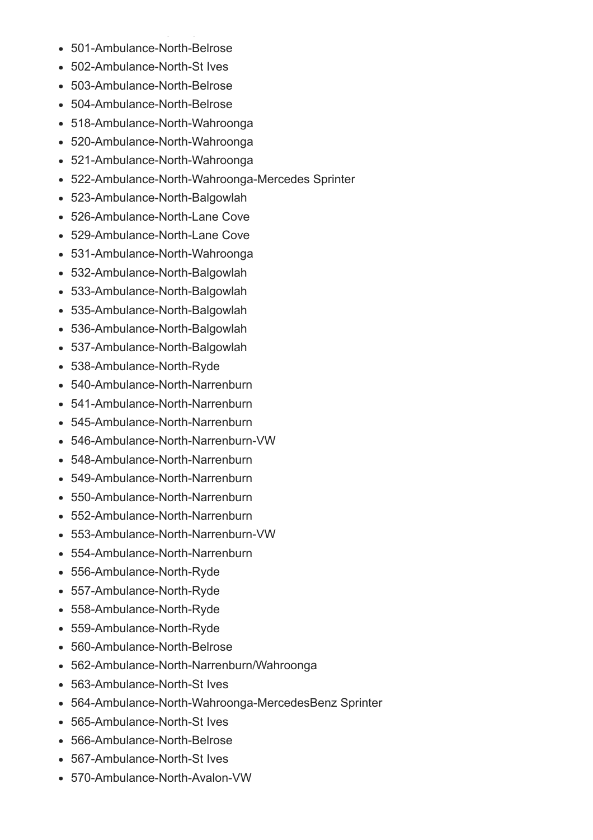- 501-Ambulance-North-Belrose  $\bullet$
- 502-Ambulance-North-St Ives
- 503-Ambulance-North-Belrose
- 504-Ambulance-North-Belrose
- 518-Ambulance-North-Wahroonga
- 520-Ambulance-North-Wahroonga
- 521-Ambulance-North-Wahroonga
- 522-Ambulance-North-Wahroonga-Mercedes Sprinter
- 523-Ambulance-North-Balgowlah
- 526-Ambulance-North-Lane Cove
- 529-Ambulance-North-Lane Cove
- 531-Ambulance-North-Wahroonga
- 532-Ambulance-North-Balgowlah
- 533-Ambulance-North-Balgowlah
- 535-Ambulance-North-Balgowlah
- 536-Ambulance-North-Balgowlah
- 537-Ambulance-North-Balgowlah
- 538-Ambulance-North-Ryde
- 540-Ambulance-North-Narrenburn
- 541-Ambulance-North-Narrenburn
- 545-Ambulance-North-Narrenburn
- 546-Ambulance-North-Narrenburn-VW
- 548-Ambulance-North-Narrenburn
- 549-Ambulance-North-Narrenburn
- 550-Ambulance-North-Narrenburn
- 552-Ambulance-North-Narrenburn
- 553-Ambulance-North-Narrenburn-VW
- 554-Ambulance-North-Narrenburn
- 556-Ambulance-North-Ryde
- 557-Ambulance-North-Ryde
- 558-Ambulance-North-Ryde
- 559-Ambulance-North-Ryde
- 560-Ambulance-North-Belrose
- 562-Ambulance-North-Narrenburn/Wahroonga
- 563-Ambulance-North-St Ives
- 564-Ambulance-North-Wahroonga-MercedesBenz Sprinter
- 565-Ambulance-North-St Ives
- $\bullet$  566-Ambulance-North-Belrose
- 567-Ambulance-North-St Ives
- 570-Ambulance-North-Avalon-VW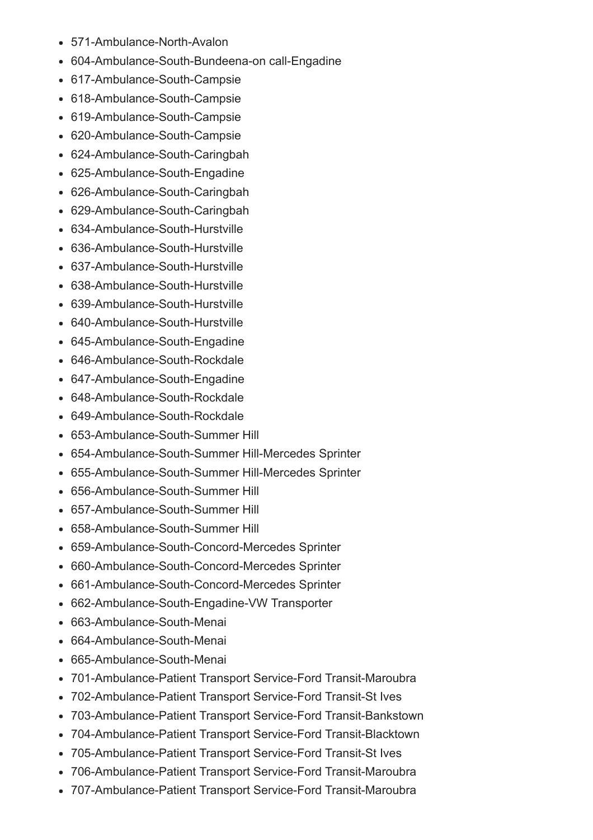- 571-Ambulance-North-Avalon
- 604-Ambulance-South-Bundeena-on call-Engadine
- 617-Ambulance-South-Campsie
- 618-Ambulance-South-Campsie
- 619-Ambulance-South-Campsie
- 620-Ambulance-South-Campsie
- 624-Ambulance-South-Caringbah
- 625-Ambulance-South-Engadine
- 626-Ambulance-South-Caringbah
- 629-Ambulance-South-Caringbah
- 634-Ambulance-South-Hurstville
- 636-Ambulance-South-Hurstville
- 637-Ambulance-South-Hurstville
- 638-Ambulance-South-Hurstville
- 639-Ambulance-South-Hurstville
- 640-Ambulance-South-Hurstville
- 645-Ambulance-South-Engadine
- 646-Ambulance-South-Rockdale
- 647-Ambulance-South-Engadine
- 648-Ambulance-South-Rockdale
- 649-Ambulance-South-Rockdale
- 653-Ambulance-South-Summer Hill
- 654-Ambulance-South-Summer Hill-Mercedes Sprinter
- 655-Ambulance-South-Summer Hill-Mercedes Sprinter
- 656-Ambulance-South-Summer Hill
- 657-Ambulance-South-Summer Hill
- 658-Ambulance-South-Summer Hill
- 659-Ambulance-South-Concord-Mercedes Sprinter
- 660-Ambulance-South-Concord-Mercedes Sprinter
- 661-Ambulance-South-Concord-Mercedes Sprinter
- 662-Ambulance-South-Engadine-VW Transporter
- $-663$ -Ambulance-South-Menai
- $-664$ -Ambulance-South-Menai
- 665-Ambulance-South-Menai
- 701-Ambulance-Patient Transport Service-Ford Transit-Maroubra
- 702-Ambulance-Patient Transport Service-Ford Transit-St Ives
- 703-Ambulance-Patient Transport Service-Ford Transit-Bankstown
- 704-Ambulance-Patient Transport Service-Ford Transit-Blacktown
- 705-Ambulance-Patient Transport Service-Ford Transit-St Ives
- 706-Ambulance-Patient Transport Service-Ford Transit-Maroubra
- 707-Ambulance-Patient Transport Service-Ford Transit-Maroubra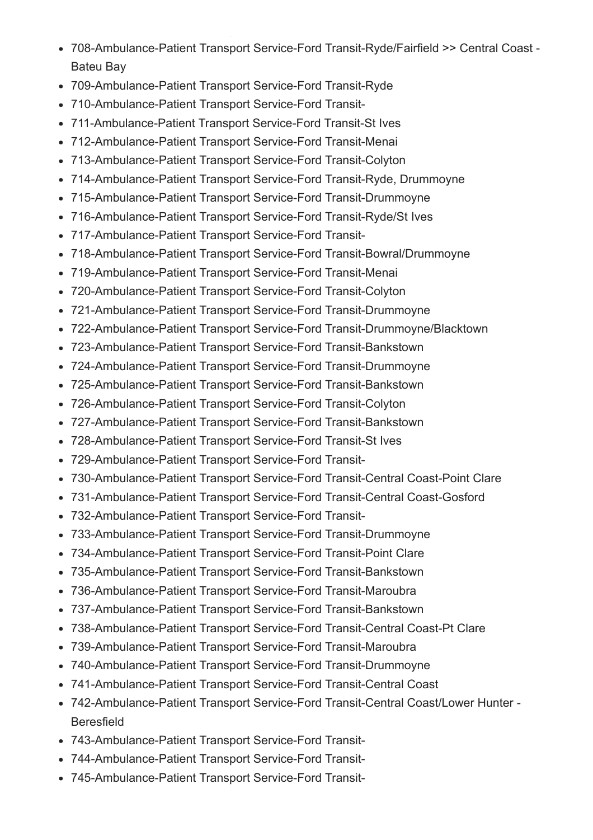- 708-Ambulance-Patient Transport Service-Ford Transit-Ryde/Fairfield >> Central Coast -Bateu Bay
- 709-Ambulance-Patient Transport Service-Ford Transit-Ryde
- 710-Ambulance-Patient Transport Service-Ford Transit-
- 711-Ambulance-Patient Transport Service-Ford Transit-St Ives
- 712-Ambulance-Patient Transport Service-Ford Transit-Menai
- 713-Ambulance-Patient Transport Service-Ford Transit-Colyton
- 714-Ambulance-Patient Transport Service-Ford Transit-Ryde, Drummoyne
- 715-Ambulance-Patient Transport Service-Ford Transit-Drummoyne
- 716-Ambulance-Patient Transport Service-Ford Transit-Ryde/St Ives
- 717-Ambulance-Patient Transport Service-Ford Transit-
- 718-Ambulance-Patient Transport Service-Ford Transit-Bowral/Drummoyne
- 719-Ambulance-Patient Transport Service-Ford Transit-Menai
- 720-Ambulance-Patient Transport Service-Ford Transit-Colyton
- 721-Ambulance-Patient Transport Service-Ford Transit-Drummoyne
- 722-Ambulance-Patient Transport Service-Ford Transit-Drummoyne/Blacktown
- 723-Ambulance-Patient Transport Service-Ford Transit-Bankstown
- 724-Ambulance-Patient Transport Service-Ford Transit-Drummoyne
- 725-Ambulance-Patient Transport Service-Ford Transit-Bankstown
- 726-Ambulance-Patient Transport Service-Ford Transit-Colyton
- 727-Ambulance-Patient Transport Service-Ford Transit-Bankstown
- 728-Ambulance-Patient Transport Service-Ford Transit-St Ives
- 729-Ambulance-Patient Transport Service-Ford Transit-
- 730-Ambulance-Patient Transport Service-Ford Transit-Central Coast-Point Clare
- 731-Ambulance-Patient Transport Service-Ford Transit-Central Coast-Gosford
- 732-Ambulance-Patient Transport Service-Ford Transit-
- 733-Ambulance-Patient Transport Service-Ford Transit-Drummoyne
- 734-Ambulance-Patient Transport Service-Ford Transit-Point Clare
- 735-Ambulance-Patient Transport Service-Ford Transit-Bankstown
- 736-Ambulance-Patient Transport Service-Ford Transit-Maroubra
- 737-Ambulance-Patient Transport Service-Ford Transit-Bankstown
- 738-Ambulance-Patient Transport Service-Ford Transit-Central Coast-Pt Clare
- 739-Ambulance-Patient Transport Service-Ford Transit-Maroubra
- 740-Ambulance-Patient Transport Service-Ford Transit-Drummoyne
- 741-Ambulance-Patient Transport Service-Ford Transit-Central Coast
- 742-Ambulance-Patient Transport Service-Ford Transit-Central Coast/Lower Hunter -Beresfield
- 743-Ambulance-Patient Transport Service-Ford Transit-
- 744-Ambulance-Patient Transport Service-Ford Transit-
- 745-Ambulance-Patient Transport Service-Ford Transit-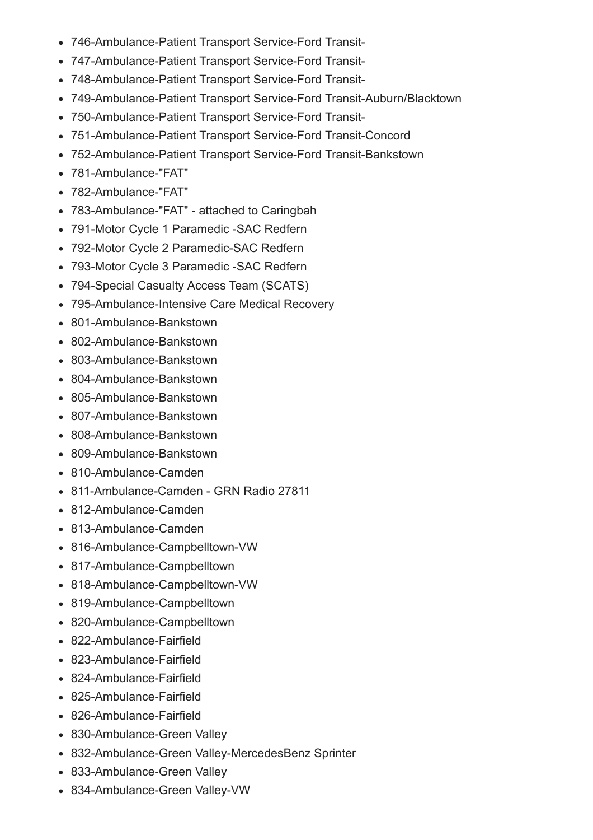- 746-Ambulance-Patient Transport Service-Ford Transit-
- 747-Ambulance-Patient Transport Service-Ford Transit-
- 748-Ambulance-Patient Transport Service-Ford Transit-
- 749-Ambulance-Patient Transport Service-Ford Transit-Auburn/Blacktown
- 750-Ambulance-Patient Transport Service-Ford Transit-
- 751-Ambulance-Patient Transport Service-Ford Transit-Concord
- 752-Ambulance-Patient Transport Service-Ford Transit-Bankstown
- 781-Ambulance-"FAT"
- 782-Ambulance-"FAT"
- 783-Ambulance-"FAT" attached to Caringbah
- 791-Motor Cycle 1 Paramedic SAC Redfern
- 792-Motor Cycle 2 Paramedic-SAC Redfern
- 793-Motor Cycle 3 Paramedic SAC Redfern
- 794-Special Casualty Access Team (SCATS)
- 795-Ambulance-Intensive Care Medical Recovery
- 801-Ambulance-Bankstown
- 802-Ambulance-Bankstown
- 803-Ambulance-Bankstown
- 804-Ambulance-Bankstown
- 805-Ambulance-Bankstown
- 807-Ambulance-Bankstown
- $\cdot$  808-Ambulance-Bankstown
- 809-Ambulance-Bankstown
- 810-Ambulance-Camden
- 811-Ambulance-Camden GRN Radio 27811
- 812-Ambulance-Camden
- 813-Ambulance-Camden
- 816-Ambulance-Campbelltown-VW
- 817-Ambulance-Campbelltown
- 818-Ambulance-Campbelltown-VW
- 819-Ambulance-Campbelltown
- 820-Ambulance-Campbelltown
- 822-Ambulance-Fairfield
- 823-Ambulance-Fairfield
- 824-Ambulance-Fairfield
- 825-Ambulance-Fairfield
- 826-Ambulance-Fairfield
- 830-Ambulance-Green Valley
- 832-Ambulance-Green Valley-MercedesBenz Sprinter
- 833-Ambulance-Green Valley
- 834-Ambulance-Green Valley-VW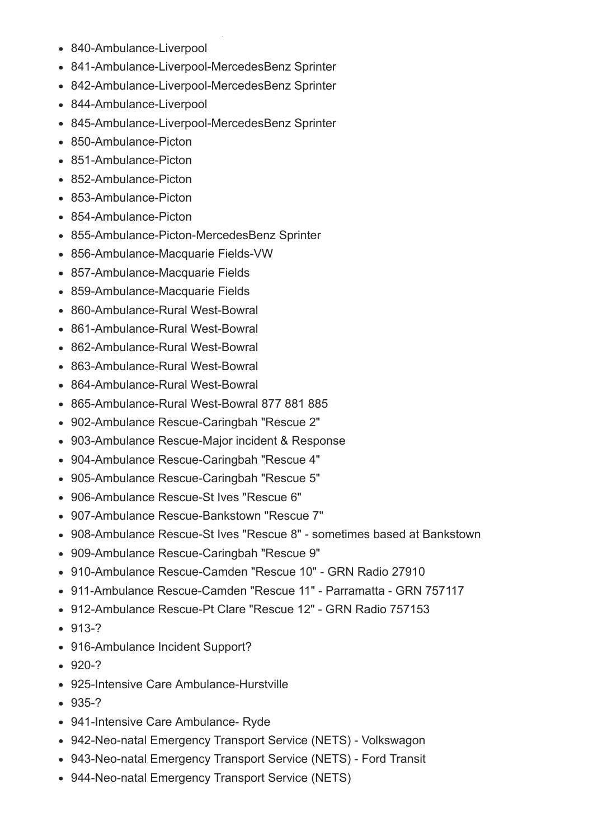- 840-Ambulance-Liverpool
- 841-Ambulance-Liverpool-MercedesBenz Sprinter
- 842-Ambulance-Liverpool-MercedesBenz Sprinter
- 844-Ambulance-Liverpool
- 845-Ambulance-Liverpool-MercedesBenz Sprinter
- 850-Ambulance-Picton
- 851-Ambulance-Picton
- 852-Ambulance-Picton
- 853-Ambulance-Picton
- 854-Ambulance-Picton
- 855-Ambulance-Picton-MercedesBenz Sprinter
- 856-Ambulance-Macquarie Fields-VW
- 857-Ambulance-Macquarie Fields
- 859-Ambulance-Macquarie Fields
- 860-Ambulance-Rural West-Bowral
- 861-Ambulance-Rural West-Bowral
- 862-Ambulance-Rural West-Bowral
- 863-Ambulance-Rural West-Bowral
- 864-Ambulance-Rural West-Bowral
- 865-Ambulance-Rural West-Bowral 877 881 885
- 902-Ambulance Rescue-Caringbah "Rescue 2"
- 903-Ambulance Rescue-Major incident & Response
- 904-Ambulance Rescue-Caringbah "Rescue 4"
- 905-Ambulance Rescue-Caringbah "Rescue 5"
- 906-Ambulance Rescue-St Ives "Rescue 6"
- 907-Ambulance Rescue-Bankstown "Rescue 7"
- 908-Ambulance Rescue-St Ives "Rescue 8" sometimes based at Bankstown
- 909-Ambulance Rescue-Caringbah "Rescue 9"
- 910-Ambulance Rescue-Camden "Rescue 10" GRN Radio 27910
- 911-Ambulance Rescue-Camden "Rescue 11" Parramatta GRN 757117
- 912-Ambulance Rescue-Pt Clare "Rescue 12" GRN Radio 757153
- $-913-?$
- 916-Ambulance Incident Support?
- $-920-2$
- 925-Intensive Care Ambulance-Hurstville
- $-935-?$
- 941-Intensive Care Ambulance- Ryde
- 942-Neo-natal Emergency Transport Service (NETS) Volkswagon
- 943-Neo-natal Emergency Transport Service (NETS) Ford Transit
- 944-Neo-natal Emergency Transport Service (NETS)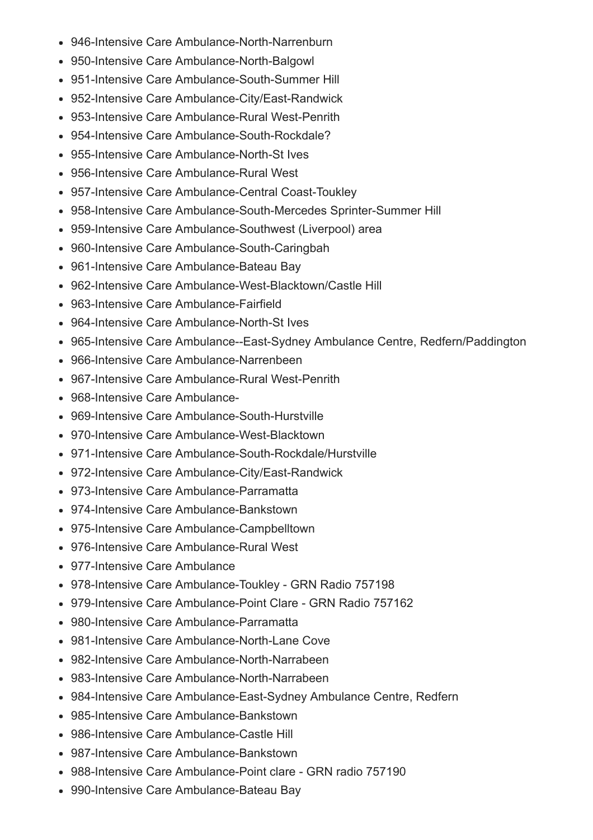- 946-Intensive Care Ambulance-North-Narrenburn
- 950-Intensive Care Ambulance-North-Balgowl
- 951-Intensive Care Ambulance-South-Summer Hill
- 952-Intensive Care Ambulance-City/East-Randwick
- 953-Intensive Care Ambulance-Rural West-Penrith
- 954-Intensive Care Ambulance-South-Rockdale?
- 955-Intensive Care Ambulance-North-St Ives
- 956-Intensive Care Ambulance-Rural West
- 957-Intensive Care Ambulance-Central Coast-Toukley
- 958-Intensive Care Ambulance-South-Mercedes Sprinter-Summer Hill
- 959-Intensive Care Ambulance-Southwest (Liverpool) area
- 960-Intensive Care Ambulance-South-Caringbah
- 961-Intensive Care Ambulance-Bateau Bay
- 962-Intensive Care Ambulance-West-Blacktown/Castle Hill
- 963-Intensive Care Ambulance-Fairfield
- 964-Intensive Care Ambulance-North-St Ives
- 965-Intensive Care Ambulance--East-Sydney Ambulance Centre, Redfern/Paddington
- 966-Intensive Care Ambulance-Narrenbeen
- 967-Intensive Care Ambulance-Rural West-Penrith
- 968-Intensive Care Ambulance-
- 969-Intensive Care Ambulance-South-Hurstville
- 970-Intensive Care Ambulance-West-Blacktown
- 971-Intensive Care Ambulance-South-Rockdale/Hurstville
- 972-Intensive Care Ambulance-City/East-Randwick
- 973-Intensive Care Ambulance-Parramatta
- 974-Intensive Care Ambulance-Bankstown
- 975-Intensive Care Ambulance-Campbelltown
- 976-Intensive Care Ambulance-Rural West
- 977-Intensive Care Ambulance
- 978-Intensive Care Ambulance-Toukley GRN Radio 757198
- 979-Intensive Care Ambulance-Point Clare GRN Radio 757162
- 980-Intensive Care Ambulance-Parramatta
- 981-Intensive Care Ambulance-North-Lane Cove
- 982-Intensive Care Ambulance-North-Narrabeen
- 983-Intensive Care Ambulance-North-Narrabeen
- 984-Intensive Care Ambulance-East-Sydney Ambulance Centre, Redfern
- 985-Intensive Care Ambulance-Bankstown
- 986-Intensive Care Ambulance-Castle Hill
- 987-Intensive Care Ambulance-Bankstown
- 988-Intensive Care Ambulance-Point clare GRN radio 757190
- 990-Intensive Care Ambulance-Bateau Bay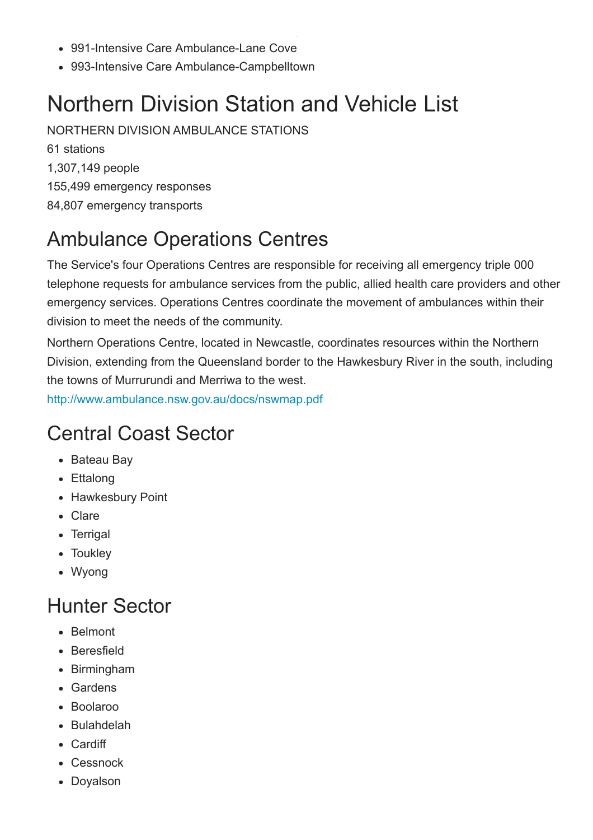- 991-Intensive Care Ambulance-Lane Cove
- 993-Intensive Care Ambulance-Campbelltown

### <span id="page-14-0"></span>Northern Division Station and Vehicle List

NORTHERN DIVISION AMBULANCE STATIONS

61 stations 1,307,149 people 155,499 emergency responses 84,807 emergency transports

#### <span id="page-14-1"></span>Ambulance Operations Centres

The Service's four Operations Centres are responsible for receiving all emergency triple 000 telephone requests for ambulance services from the public, allied health care providers and other emergency services. Operations Centres coordinate the movement of ambulances within their division to meet the needs of the community.

Northern Operations Centre, located in Newcastle, coordinates resources within the Northern Division, extending from the Queensland border to the Hawkesbury River in the south, including the towns of Murrurundi and Merriwa to the west.

<http://www.ambulance.nsw.gov.au/docs/nswmap.pdf>

#### <span id="page-14-2"></span>Central Coast Sector

- Bateau Bay
- Ettalong
- Hawkesbury Point
- Clare
- Terrigal
- Toukley
- Wyong

#### <span id="page-14-3"></span>Hunter Sector

- Belmont
- Beresfield
- Birmingham
- Gardens
- Boolaroo
- Bulahdelah
- Cardiff
- Cessnock
- Doyalson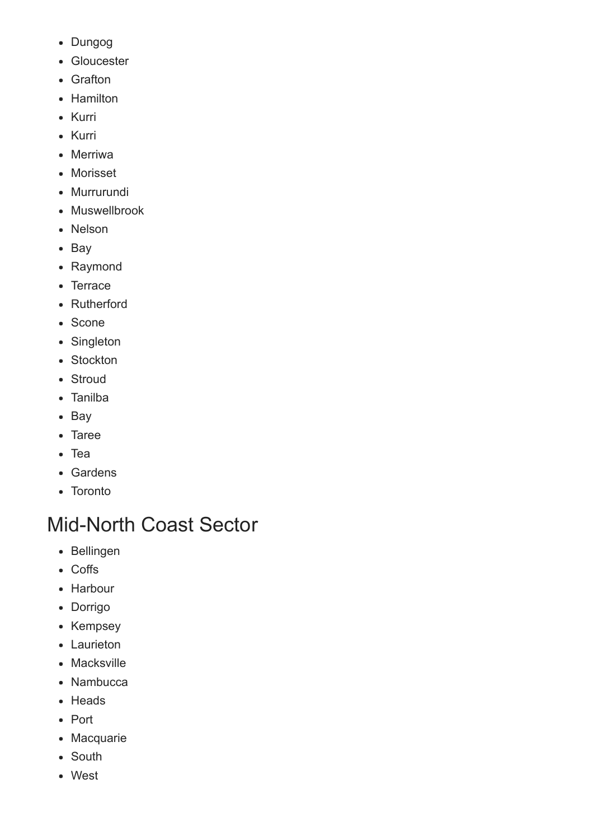- Dungog
- Gloucester
- Grafton
- Hamilton
- Kurri
- Kurri
- Merriwa
- Morisset
- Murrurundi
- Muswellbrook
- Nelson
- Bay
- Raymond
- Terrace
- Rutherford
- Scone
- Singleton
- Stockton
- Stroud
- Tanilba
- Bay
- Taree
- Tea
- Gardens
- Toronto

## <span id="page-15-0"></span>Mid-North Coast Sector

- Bellingen
- Coffs
- Harbour
- Dorrigo
- Kempsey
- Laurieton
- Macksville
- Nambucca
- Heads
- Port
- Macquarie
- South
- West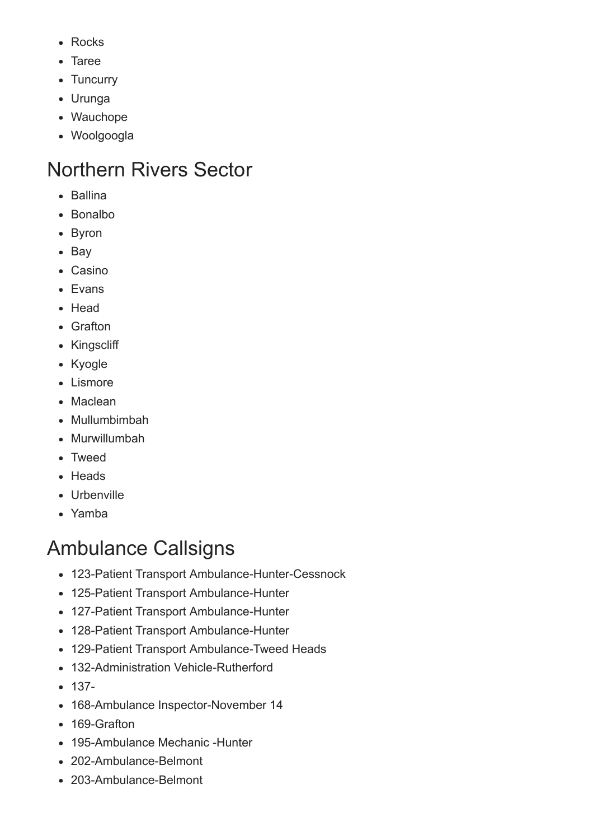- Rocks
- Taree
- Tuncurry
- Urunga
- Wauchope
- Woolgoogla

### <span id="page-16-0"></span>Northern Rivers Sector

- Ballina
- Bonalbo
- Byron
- Bay
- Casino
- Evans
- Head
- Grafton
- Kingscliff
- Kyogle
- Lismore
- Maclean
- Mullumbimbah
- Murwillumbah
- Tweed
- Heads
- Urbenville
- Yamba

### <span id="page-16-1"></span>Ambulance Callsigns

- 123-Patient Transport Ambulance-Hunter-Cessnock
- 125-Patient Transport Ambulance-Hunter
- 127-Patient Transport Ambulance-Hunter
- 128-Patient Transport Ambulance-Hunter
- 129-Patient Transport Ambulance-Tweed Heads
- 132-Administration Vehicle-Rutherford
- $-137-$
- 168-Ambulance Inspector-November 14
- 169-Grafton
- 195-Ambulance Mechanic -Hunter
- 202-Ambulance-Belmont
- 203-Ambulance-Belmont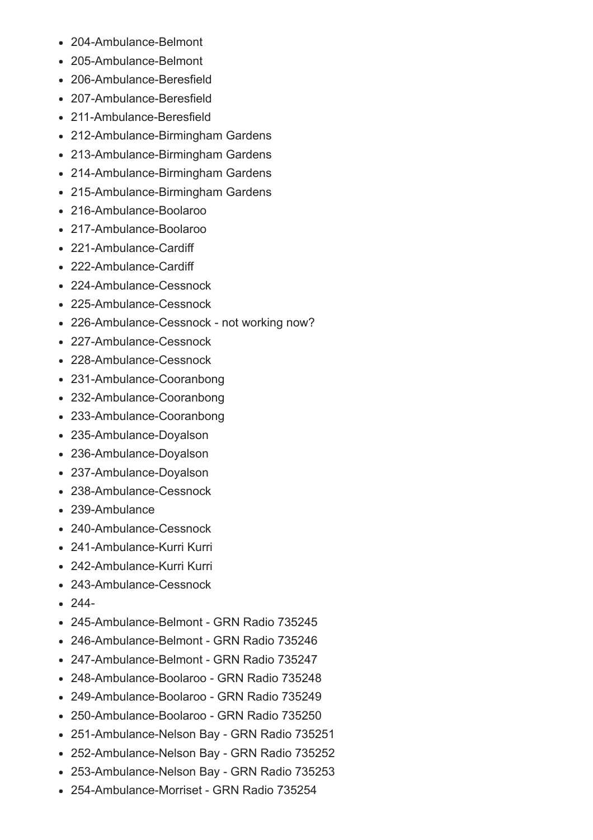- 204-Ambulance-Belmont
- 205-Ambulance-Belmont
- 206-Ambulance-Beresfield
- $\bullet$  207-Ambulance-Beresfield
- 211-Ambulance-Beresfield
- 212-Ambulance-Birmingham Gardens
- 213-Ambulance-Birmingham Gardens
- 214-Ambulance-Birmingham Gardens
- 215-Ambulance-Birmingham Gardens
- 216-Ambulance-Boolaroo
- 217-Ambulance-Boolaroo
- 221-Ambulance-Cardiff
- 222-Ambulance-Cardiff
- 224-Ambulance-Cessnock
- 225-Ambulance-Cessnock
- 226-Ambulance-Cessnock not working now?
- 227-Ambulance-Cessnock
- 228-Ambulance-Cessnock
- 231-Ambulance-Cooranbong
- 232-Ambulance-Cooranbong
- 233-Ambulance-Cooranbong
- 235-Ambulance-Doyalson
- 236-Ambulance-Doyalson
- 237-Ambulance-Doyalson
- 238-Ambulance-Cessnock
- 239-Ambulance
- 240-Ambulance-Cessnock
- 241-Ambulance-Kurri Kurri
- 242-Ambulance-Kurri Kurri
- 243-Ambulance-Cessnock
- $244 -$
- 245-Ambulance-Belmont GRN Radio 735245
- 246-Ambulance-Belmont GRN Radio 735246
- 247-Ambulance-Belmont GRN Radio 735247
- 248-Ambulance-Boolaroo GRN Radio 735248
- 249-Ambulance-Boolaroo GRN Radio 735249
- 250-Ambulance-Boolaroo GRN Radio 735250
- 251-Ambulance-Nelson Bay GRN Radio 735251
- 252-Ambulance-Nelson Bay GRN Radio 735252
- 253-Ambulance-Nelson Bay GRN Radio 735253
- 254-Ambulance-Morriset GRN Radio 735254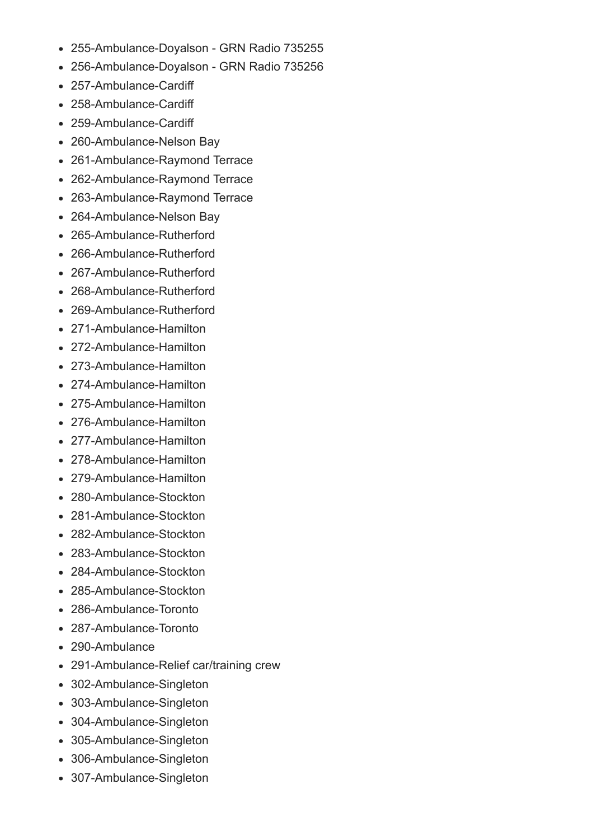- 255-Ambulance-Doyalson GRN Radio 735255
- 256-Ambulance-Doyalson GRN Radio 735256
- 257-Ambulance-Cardiff
- 258-Ambulance-Cardiff
- 259-Ambulance-Cardiff
- 260-Ambulance-Nelson Bay
- 261-Ambulance-Raymond Terrace
- 262-Ambulance-Raymond Terrace
- 263-Ambulance-Raymond Terrace
- 264-Ambulance-Nelson Bay
- 265-Ambulance-Rutherford
- 266-Ambulance-Rutherford
- 267-Ambulance-Rutherford
- 268-Ambulance-Rutherford
- 269-Ambulance-Rutherford
- 271-Ambulance-Hamilton
- 272-Ambulance-Hamilton
- 273-Ambulance-Hamilton
- 274-Ambulance-Hamilton
- 275-Ambulance-Hamilton
- 276-Ambulance-Hamilton
- 277-Ambulance-Hamilton
- 278-Ambulance-Hamilton
- 279-Ambulance-Hamilton
- 280-Ambulance-Stockton
- 281-Ambulance-Stockton
- 282-Ambulance-Stockton
- 283-Ambulance-Stockton
- 284-Ambulance-Stockton
- 285-Ambulance-Stockton
- 286-Ambulance-Toronto
- 287-Ambulance-Toronto
- 290-Ambulance
- 291-Ambulance-Relief car/training crew
- 302-Ambulance-Singleton
- 303-Ambulance-Singleton
- 304-Ambulance-Singleton
- 305-Ambulance-Singleton
- 306-Ambulance-Singleton
- 307-Ambulance-Singleton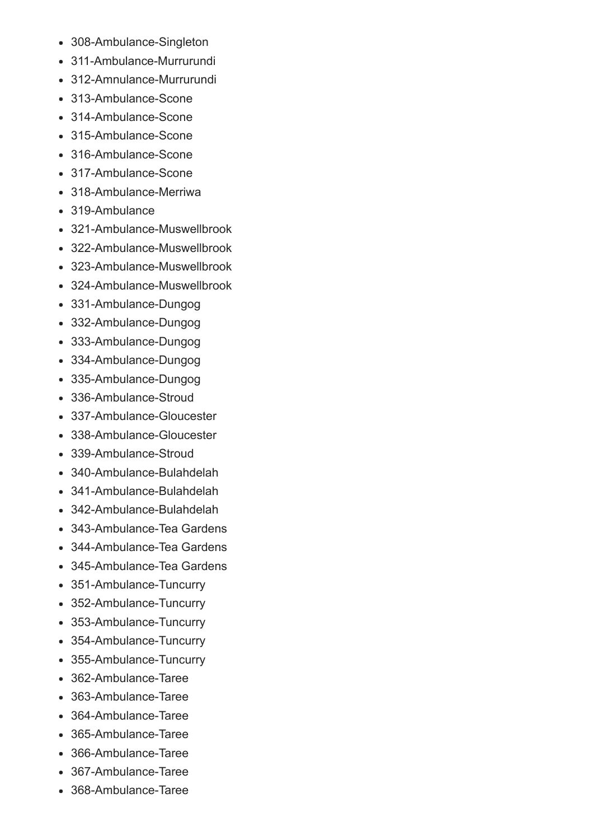- 308-Ambulance-Singleton
- 311-Ambulance-Murrurundi
- 312-Amnulance-Murrurundi  $\bullet$
- $\bullet$  313-Ambulance-Scone
- $\bullet$  314-Ambulance-Scone
- 315-Ambulance-Scone
- $\bullet$  316-Ambulance-Scone
- 317-Ambulance-Scone
- 318-Ambulance-Merriwa  $\bullet$
- 319-Ambulance
- 321-Ambulance-Muswellbrook
- 322-Ambulance-Muswellbrook
- 323-Ambulance-Muswellbrook
- 324-Ambulance-Muswellbrook
- 331-Ambulance-Dungog
- 332-Ambulance-Dungog
- 333-Ambulance-Dungog
- 334-Ambulance-Dungog
- 335-Ambulance-Dungog
- 336-Ambulance-Stroud
- 337-Ambulance-Gloucester
- 338-Ambulance-Gloucester
- 339-Ambulance-Stroud
- 340-Ambulance-Bulahdelah
- $\bullet$  341-Ambulance-Bulahdelah
- 342-Ambulance-Bulahdelah  $\bullet$
- 343-Ambulance-Tea Gardens
- 344-Ambulance-Tea Gardens
- 345-Ambulance-Tea Gardens
- 351-Ambulance-Tuncurry
- 352-Ambulance-Tuncurry
- 353-Ambulance-Tuncurry
- 354-Ambulance-Tuncurry
- 355-Ambulance-Tuncurry
- 362-Ambulance-Taree
- 363-Ambulance-Taree
- 364-Ambulance-Taree
- 365-Ambulance-Taree
- 366-Ambulance-Taree
- 367-Ambulance-Taree
- 368-Ambulance-Taree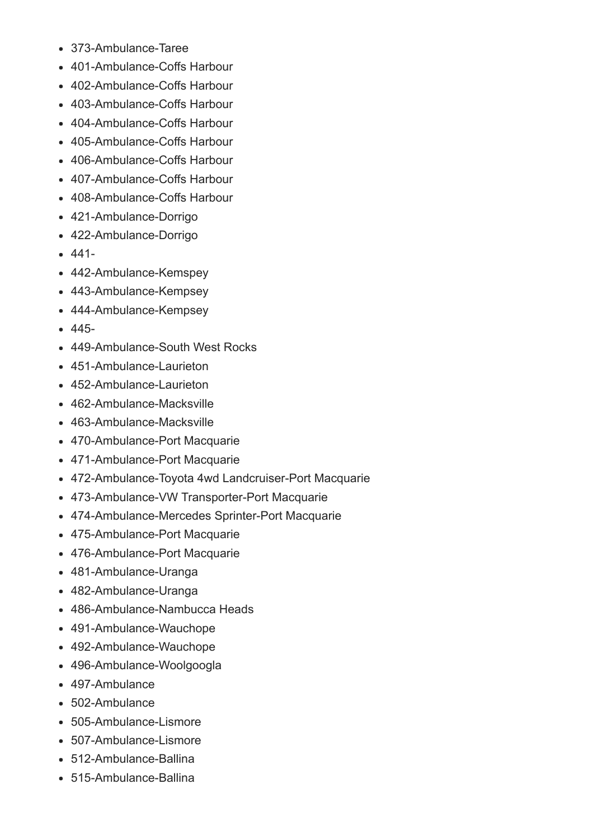- 373-Ambulance-Taree
- 401-Ambulance-Coffs Harbour
- 402-Ambulance-Coffs Harbour
- 403-Ambulance-Coffs Harbour
- 404-Ambulance-Coffs Harbour
- 405-Ambulance-Coffs Harbour
- 406-Ambulance-Coffs Harbour
- 407-Ambulance-Coffs Harbour
- 408-Ambulance-Coffs Harbour
- 421-Ambulance-Dorrigo
- 422-Ambulance-Dorrigo
- $-441-$
- 442-Ambulance-Kemspey
- 443-Ambulance-Kempsey
- 444-Ambulance-Kempsey
- $-445-$
- 449-Ambulance-South West Rocks
- 451-Ambulance-Laurieton
- 452-Ambulance-Laurieton
- $\bullet$  462-Ambulance-Macksville
- 463-Ambulance-Macksville
- 470-Ambulance-Port Macquarie
- 471-Ambulance-Port Macquarie
- 472-Ambulance-Toyota 4wd Landcruiser-Port Macquarie
- 473-Ambulance-VW Transporter-Port Macquarie
- 474-Ambulance-Mercedes Sprinter-Port Macquarie
- 475-Ambulance-Port Macquarie
- 476-Ambulance-Port Macquarie
- 481-Ambulance-Uranga
- 482-Ambulance-Uranga
- 486-Ambulance-Nambucca Heads
- 491-Ambulance-Wauchope
- 492-Ambulance-Wauchope
- 496-Ambulance-Woolgoogla
- 497-Ambulance
- 502-Ambulance
- 505-Ambulance-Lismore
- 507-Ambulance-Lismore
- $-512$ -Ambulance-Ballina
- 515-Ambulance-Ballina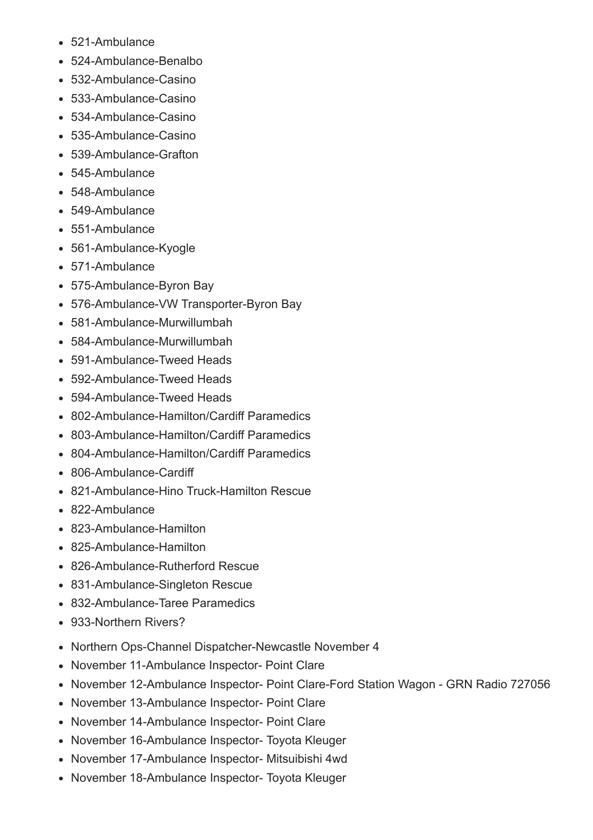- 521-Ambulance
- 524-Ambulance-Benalbo
- 532-Ambulance-Casino
- $-533$ -Ambulance-Casino
- $-534$ -Ambulance-Casino
- 535-Ambulance-Casino
- 539-Ambulance-Grafton
- 545-Ambulance
- 548-Ambulance
- 549-Ambulance
- 551-Ambulance
- 561-Ambulance-Kyogle
- 571-Ambulance
- 575-Ambulance-Byron Bay
- 576-Ambulance-VW Transporter-Byron Bay
- 581-Ambulance-Murwillumbah
- 584-Ambulance-Murwillumbah
- 591-Ambulance-Tweed Heads
- 592-Ambulance-Tweed Heads
- 594-Ambulance-Tweed Heads
- 802-Ambulance-Hamilton/Cardiff Paramedics
- 803-Ambulance-Hamilton/Cardiff Paramedics
- 804-Ambulance-Hamilton/Cardiff Paramedics
- 806-Ambulance-Cardiff
- 821-Ambulance-Hino Truck-Hamilton Rescue
- 822Ambulance
- 823-Ambulance-Hamilton
- 825-Ambulance-Hamilton
- 826-Ambulance-Rutherford Rescue
- 831-Ambulance-Singleton Rescue
- 832-Ambulance-Taree Paramedics
- 933-Northern Rivers?
- Northern Ops-Channel Dispatcher-Newcastle November 4
- November 11-Ambulance Inspector- Point Clare
- November 12-Ambulance Inspector- Point Clare-Ford Station Wagon GRN Radio 727056
- November 13-Ambulance Inspector- Point Clare
- November 14-Ambulance Inspector- Point Clare
- November 16-Ambulance Inspector- Toyota Kleuger
- November 17-Ambulance Inspector- Mitsuibishi 4wd
- November 18-Ambulance Inspector- Toyota Kleuger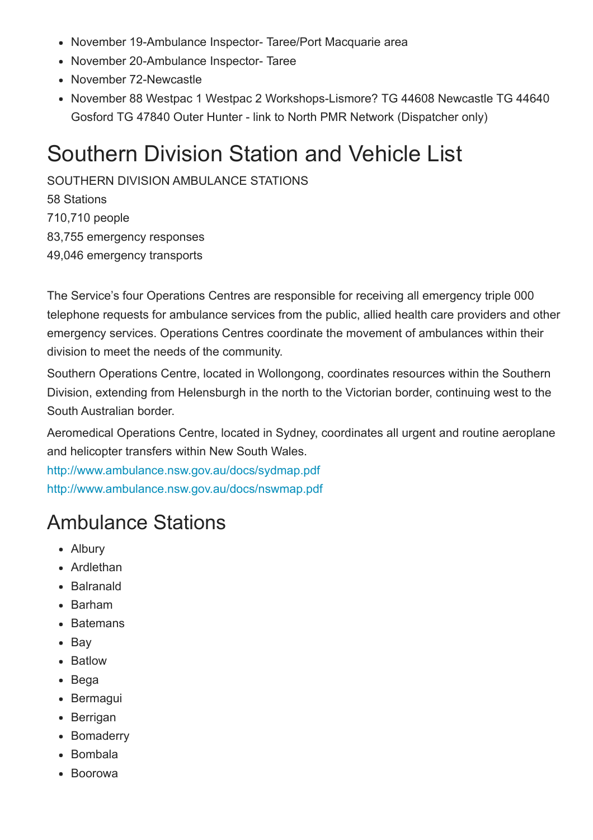- November 19-Ambulance Inspector- Taree/Port Macquarie area
- November 20-Ambulance Inspector-Taree
- November 72-Newcastle
- November 88 Westpac 1 Westpac 2 Workshops-Lismore? TG 44608 Newcastle TG 44640 Gosford TG 47840 Outer Hunter - link to North PMR Network (Dispatcher only)

### <span id="page-22-0"></span>Southern Division Station and Vehicle List

SOUTHERN DIVISION AMBULANCE STATIONS 58 Stations 710,710 people 83,755 emergency responses 49,046 emergency transports

The Service's four Operations Centres are responsible for receiving all emergency triple 000 telephone requests for ambulance services from the public, allied health care providers and other emergency services. Operations Centres coordinate the movement of ambulances within their division to meet the needs of the community.

Southern Operations Centre, located in Wollongong, coordinates resources within the Southern Division, extending from Helensburgh in the north to the Victorian border, continuing west to the South Australian border.

Aeromedical Operations Centre, located in Sydney, coordinates all urgent and routine aeroplane and helicopter transfers within New South Wales.

<http://www.ambulance.nsw.gov.au/docs/sydmap.pdf> <http://www.ambulance.nsw.gov.au/docs/nswmap.pdf>

#### <span id="page-22-1"></span>Ambulance Stations

- Albury
- Ardlethan
- Balranald
- Barham
- Batemans
- Bav
- Batlow
- Bega
- Bermagui
- Berrigan
- Bomaderry
- Bombala
- Boorowa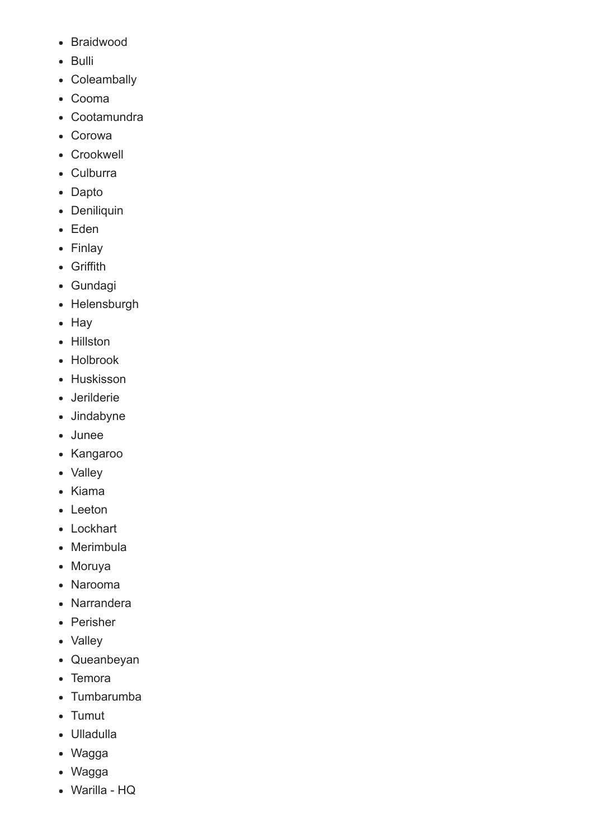- Braidwood
- Bulli
- Coleambally
- Cooma
- Cootamundra
- Corowa
- Crookwell
- Culburra
- Dapto
- Deniliquin
- Eden
- Finlay
- Griffith
- Gundagi
- Helensburgh
- Hay
- Hillston
- Holbrook
- Huskisson
- Jerilderie
- Jindabyne
- Junee
- Kangaroo
- Valley
- Kiama
- Leeton
- Lockhart
- Merimbula
- Moruya
- Narooma
- Narrandera
- Perisher
- Valley
- Queanbeyan
- Temora
- Tumbarumba
- Tumut
- Ulladulla
- Wagga
- Wagga
- Warilla HQ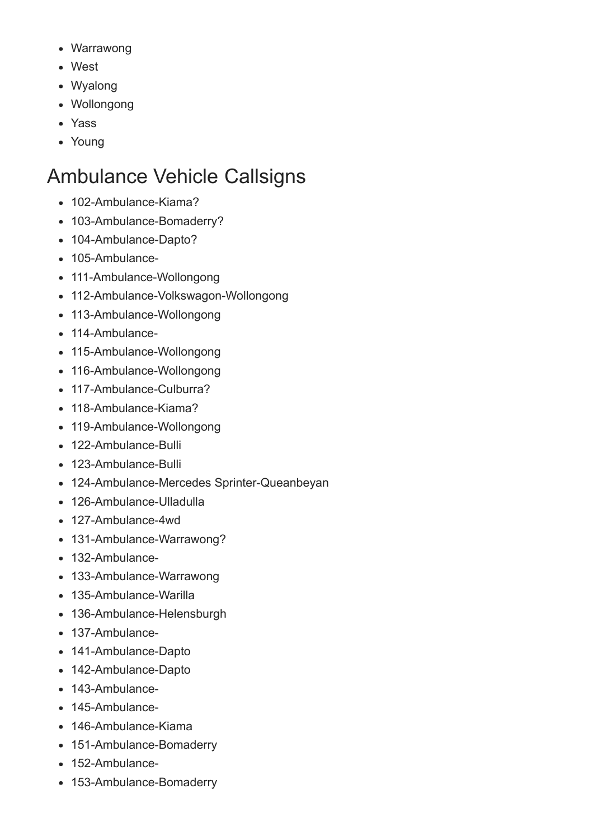- Warrawong
- West
- Wyalong
- Wollongong
- Yass
- Young

#### <span id="page-24-0"></span>Ambulance Vehicle Callsigns

- 102-Ambulance-Kiama?
- 103-Ambulance-Bomaderry?
- 104-Ambulance-Dapto?
- $\bullet$  105-Ambulance-
- 111-Ambulance-Wollongong
- 112-Ambulance-Volkswagon-Wollongong
- 113-Ambulance-Wollongong
- 114-Ambulance-
- 115-Ambulance-Wollongong
- 116-Ambulance-Wollongong
- $\bullet$  117-Ambulance-Culburra?
- 118-Ambulance-Kiama?
- 119-Ambulance-Wollongong
- $-122$ -Ambulance-Bulli
- 123-Ambulance-Bulli
- 124-Ambulance-Mercedes Sprinter-Queanbeyan
- 126-Ambulance-Ulladulla
- 127-Ambulance-4wd
- 131-Ambulance-Warrawong?
- 132-Ambulance-
- 133-Ambulance-Warrawong
- 135-Ambulance-Warilla
- 136-Ambulance-Helensburgh
- 137-Ambulance-
- 141-Ambulance-Dapto
- 142-Ambulance-Dapto
- 143-Ambulance-
- $\cdot$  145-Ambulance-
- 146-Ambulance-Kiama
- 151-Ambulance-Bomaderry
- 152-Ambulance-
- 153-Ambulance-Bomaderry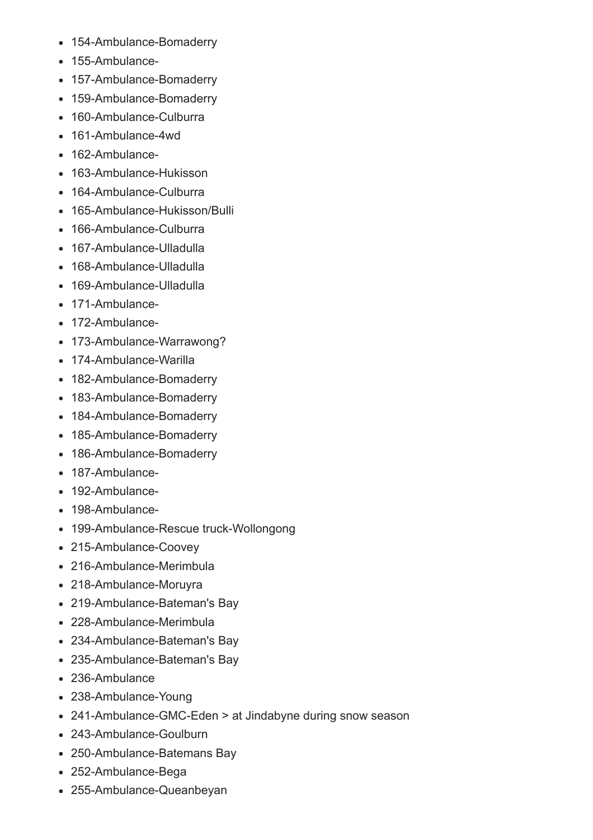- 154-Ambulance-Bomaderry
- 155-Ambulance-
- 157-Ambulance-Bomaderry
- 159-Ambulance-Bomaderry
- 160-Ambulance-Culburra
- 161-Ambulance-4wd
- 162-Ambulance-
- 163-Ambulance-Hukisson
- 164-Ambulance-Culburra
- 165-Ambulance-Hukisson/Bulli
- 166-Ambulance-Culburra
- 167-Ambulance-Ulladulla
- 168-Ambulance-Ulladulla
- 169-Ambulance-Ulladulla
- 171-Ambulance-
- 172-Ambulance-
- 173-Ambulance-Warrawong?
- 174-Ambulance-Warilla
- 182-Ambulance-Bomaderry
- 183-Ambulance-Bomaderry
- 184-Ambulance-Bomaderry
- 185-Ambulance-Bomaderry
- 186-Ambulance-Bomaderry
- 187-Ambulance-
- 192-Ambulance-
- 198-Ambulance-
- 199-Ambulance-Rescue truck-Wollongong
- 215-Ambulance-Coovey
- 216-Ambulance-Merimbula
- 218-Ambulance-Moruyra
- 219-Ambulance-Bateman's Bay
- 228-Ambulance-Merimbula
- 234-Ambulance-Bateman's Bay
- 235-Ambulance-Bateman's Bay
- 236-Ambulance
- 238-Ambulance-Young
- 241-Ambulance-GMC-Eden > at Jindabyne during snow season
- 243-Ambulance-Goulburn
- 250-Ambulance-Batemans Bay
- 252-Ambulance-Bega
- 255-Ambulance-Queanbeyan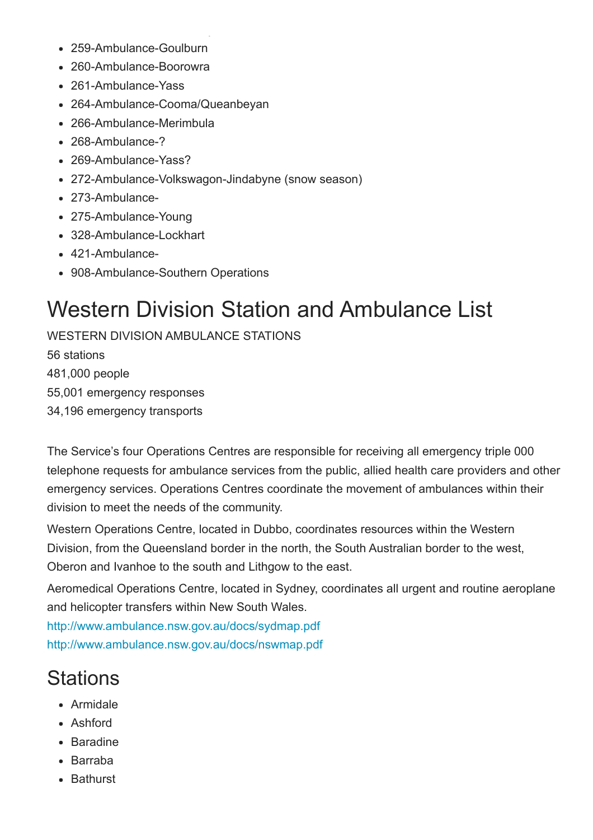- 259-Ambulance-Goulburn
- 260-Ambulance-Boorowra
- 261-Ambulance-Yass
- 264-Ambulance-Cooma/Queanbeyan
- 266-Ambulance-Merimbula
- 268-Ambulance-?
- 269-Ambulance-Yass?
- 272-Ambulance-Volkswagon-Jindabyne (snow season)
- 273-Ambulance-
- 275-Ambulance-Young
- 328-Ambulance-Lockhart
- 421-Ambulance-
- 908-Ambulance-Southern Operations

## <span id="page-26-0"></span>Western Division Station and Ambulance List

WESTERN DIVISION AMBULANCE STATIONS 56 stations 481,000 people 55,001 emergency responses 34,196 emergency transports

The Service's four Operations Centres are responsible for receiving all emergency triple 000 telephone requests for ambulance services from the public, allied health care providers and other emergency services. Operations Centres coordinate the movement of ambulances within their division to meet the needs of the community.

Western Operations Centre, located in Dubbo, coordinates resources within the Western Division, from the Queensland border in the north, the South Australian border to the west, Oberon and Ivanhoe to the south and Lithgow to the east.

Aeromedical Operations Centre, located in Sydney, coordinates all urgent and routine aeroplane and helicopter transfers within New South Wales.

<http://www.ambulance.nsw.gov.au/docs/sydmap.pdf> <http://www.ambulance.nsw.gov.au/docs/nswmap.pdf>

### <span id="page-26-1"></span>**Stations**

- Armidale
- Ashford
- Baradine
- Barraba
- **Bathurst**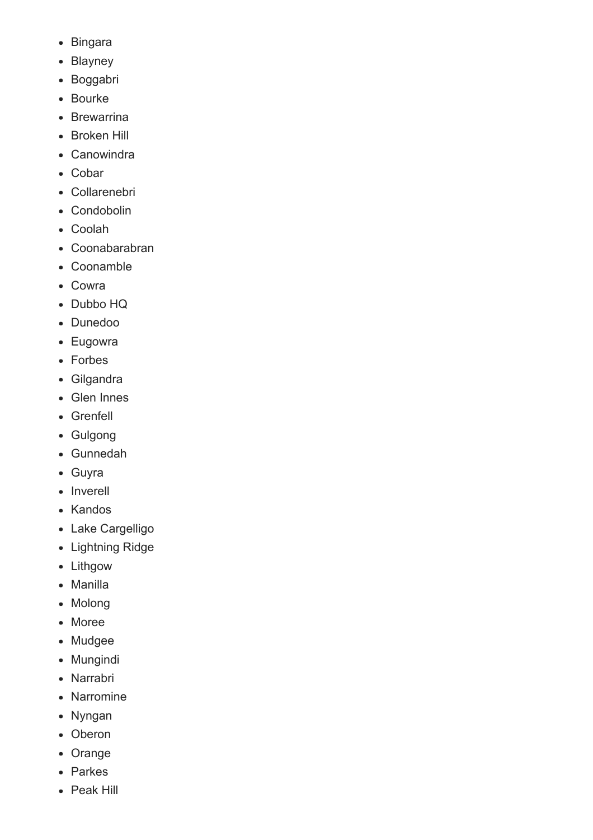- Bingara
- Blayney
- Boggabri
- Bourke
- Brewarrina
- Broken Hill
- Canowindra
- Cobar
- Collarenebri
- Condobolin
- Coolah
- Coonabarabran
- Coonamble
- Cowra
- Dubbo HQ
- Dunedoo
- Eugowra
- Forbes
- Gilgandra
- Glen Innes
- Grenfell
- Gulgong
- Gunnedah
- Guyra
- Inverell
- Kandos
- Lake Cargelligo
- Lightning Ridge
- Lithgow
- Manilla
- Molong
- Moree
- Mudgee
- Mungindi
- Narrabri
- Narromine
- Nyngan
- Oberon
- Orange
- Parkes
- Peak Hill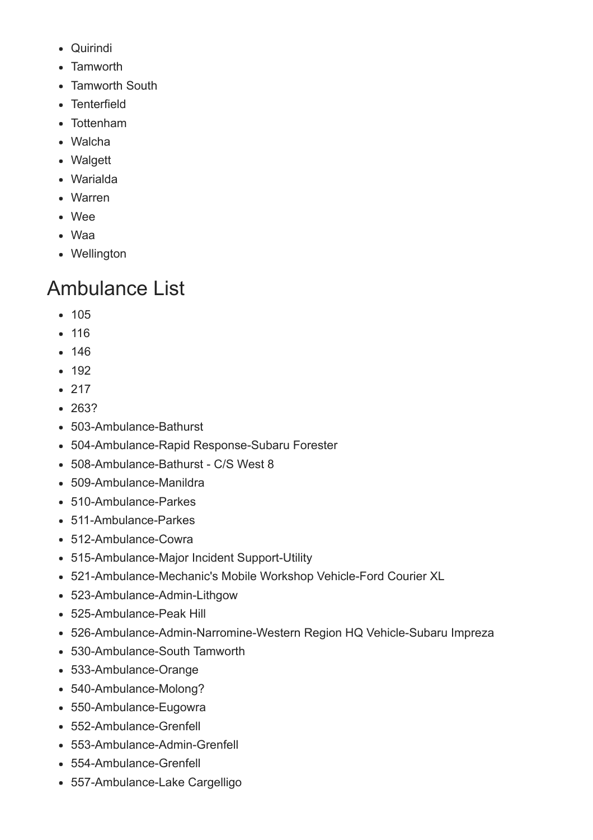- Quirindi
- Tamworth
- Tamworth South
- Tenterfield
- Tottenham
- Walcha
- Walgett
- Warialda
- Warren
- Wee
- Waa
- Wellington

### <span id="page-28-0"></span>Ambulance List

- 105
- 116
- 146
- $-192$
- $-217$
- 263?
- 503-Ambulance-Bathurst
- 504-Ambulance-Rapid Response-Subaru Forester
- 508-Ambulance-Bathurst C/S West 8
- 509-Ambulance-Manildra
- $-510$ -Ambulance-Parkes
- $511$ -Ambulance-Parkes
- 512-Ambulance-Cowra
- 515-Ambulance-Major Incident Support-Utility
- 521-Ambulance-Mechanic's Mobile Workshop Vehicle-Ford Courier XL
- 523-Ambulance-Admin-Lithgow
- 525-Ambulance-Peak Hill
- 526-Ambulance-Admin-Narromine-Western Region HQ Vehicle-Subaru Impreza
- 530-Ambulance-South Tamworth
- 533-Ambulance-Orange
- 540-Ambulance-Molong?
- 550-Ambulance-Eugowra
- 552-Ambulance-Grenfell
- 553-Ambulance-Admin-Grenfell
- 554-Ambulance-Grenfell
- 557-Ambulance-Lake Cargelligo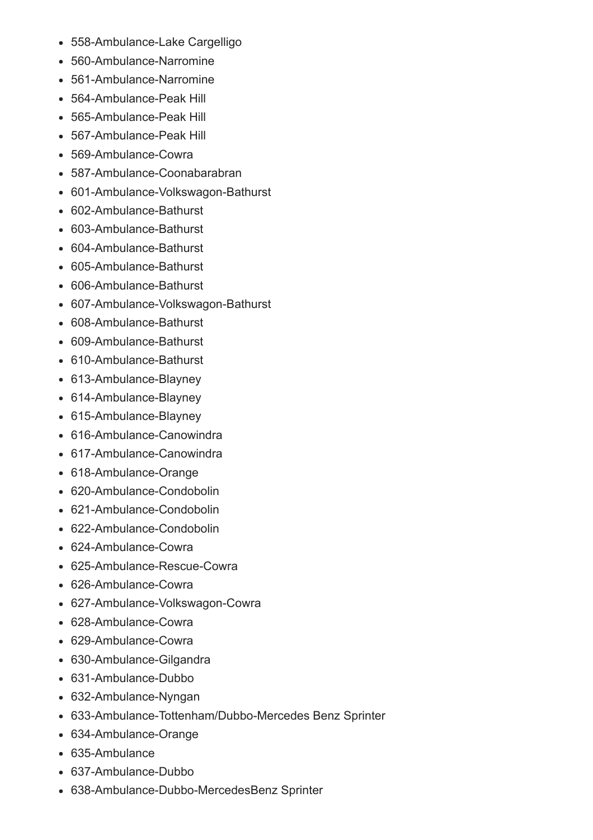- 558-Ambulance-Lake Cargelligo
- 560-Ambulance-Narromine
- 561-Ambulance-Narromine
- 564-Ambulance-Peak Hill
- 565-Ambulance-Peak Hill
- 567-Ambulance-Peak Hill
- $-569$ -Ambulance-Cowra
- 587-Ambulance-Coonabarabran
- 601-Ambulance-Volkswagon-Bathurst
- 602-Ambulance-Bathurst
- 603-Ambulance-Bathurst
- 604-Ambulance-Bathurst
- 605-Ambulance-Bathurst
- 606-Ambulance-Bathurst
- 607-Ambulance-Volkswagon-Bathurst
- 608-Ambulance-Bathurst
- 609-Ambulance-Bathurst
- 610-Ambulance-Bathurst
- 613-Ambulance-Blayney
- 614-Ambulance-Blayney
- 615-Ambulance-Blayney
- 616-Ambulance-Canowindra
- 617-Ambulance-Canowindra
- 618-Ambulance-Orange
- 620-Ambulance-Condobolin
- 621-Ambulance-Condobolin
- 622-Ambulance-Condobolin
- $-624$ -Ambulance-Cowra
- $-625$ -Ambulance-Rescue-Cowra
- 626-Ambulance-Cowra
- 627-Ambulance-Volkswagon-Cowra
- $-628$ -Ambulance-Cowra
- 629-Ambulance-Cowra
- 630-Ambulance-Gilgandra
- $-631$ -Ambulance-Dubbo
- 632-Ambulance-Nyngan
- 633-Ambulance-Tottenham/Dubbo-Mercedes Benz Sprinter
- 634-Ambulance-Orange
- 635Ambulance
- 637-Ambulance-Dubbo
- 638-Ambulance-Dubbo-MercedesBenz Sprinter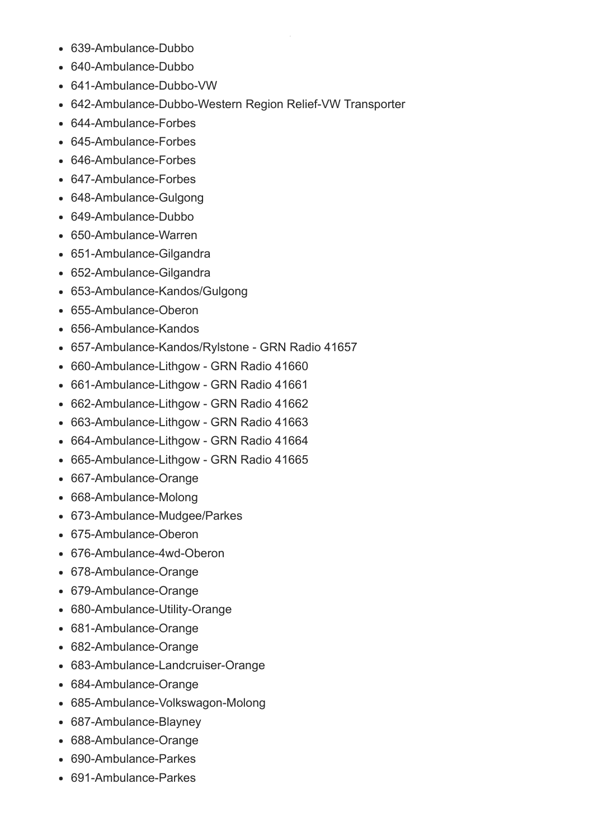- 639-Ambulance-Dubbo
- 640-Ambulance-Dubbo
- 641-Ambulance-Dubbo-VW
- 642-Ambulance-Dubbo-Western Region Relief-VW Transporter
- 644-Ambulance-Forbes
- 645-Ambulance-Forbes
- 646-Ambulance-Forbes
- 647-Ambulance-Forbes
- 648-Ambulance-Gulgong
- 649-Ambulance-Dubbo
- 650-Ambulance-Warren
- 651-Ambulance-Gilgandra
- 652-Ambulance-Gilgandra
- 653-Ambulance-Kandos/Gulgong
- 655-Ambulance-Oberon
- 656-Ambulance-Kandos
- 657-Ambulance-Kandos/Rylstone GRN Radio 41657
- 660-Ambulance-Lithgow GRN Radio 41660
- 661-Ambulance-Lithgow GRN Radio 41661
- 662-Ambulance-Lithgow GRN Radio 41662
- 663-Ambulance-Lithgow GRN Radio 41663
- 664-Ambulance-Lithgow GRN Radio 41664
- 665-Ambulance-Lithgow GRN Radio 41665
- 667-Ambulance-Orange
- 668-Ambulance-Molong
- 673-Ambulance-Mudgee/Parkes
- 675-Ambulance-Oberon
- 676-Ambulance-4wd-Oberon
- 678-Ambulance-Orange
- 679-Ambulance-Orange
- 680-Ambulance-Utility-Orange
- 681-Ambulance-Orange
- 682-Ambulance-Orange
- 683-Ambulance-Landcruiser-Orange
- 684-Ambulance-Orange
- 685-Ambulance-Volkswagon-Molong
- 687-Ambulance-Blayney
- 688-Ambulance-Orange
- 690-Ambulance-Parkes
- 691-Ambulance-Parkes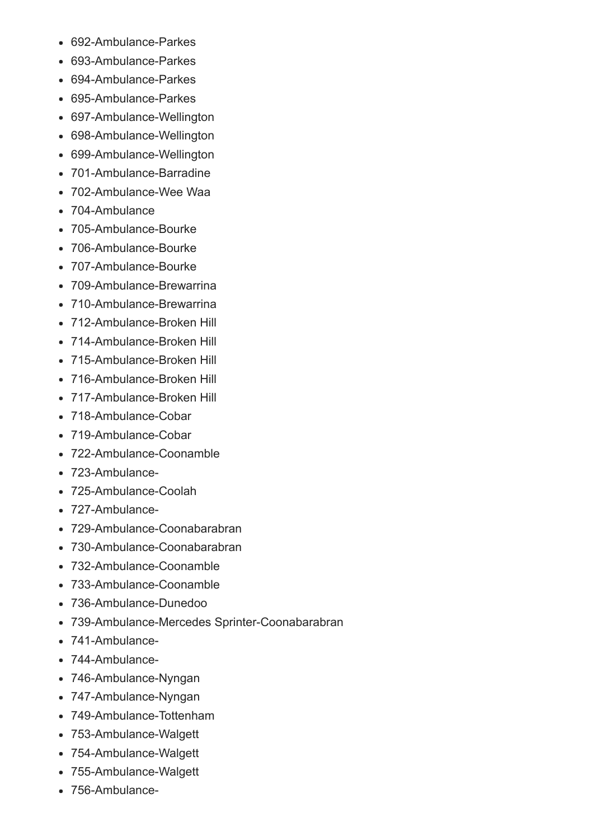- 692-Ambulance-Parkes
- 693-Ambulance-Parkes
- 694-Ambulance-Parkes
- 695-Ambulance-Parkes
- 697-Ambulance-Wellington
- 698-Ambulance-Wellington
- 699-Ambulance-Wellington
- 701-Ambulance-Barradine
- 702-Ambulance-Wee Waa
- 704-Ambulance
- 705-Ambulance-Bourke
- 706-Ambulance-Bourke
- 707-Ambulance-Bourke
- 709-Ambulance-Brewarrina
- 710-Ambulance-Brewarrina
- 712-Ambulance-Broken Hill
- 714-Ambulance-Broken Hill
- 715-Ambulance-Broken Hill
- 716-Ambulance-Broken Hill
- 717-Ambulance-Broken Hill
- 718-Ambulance-Cobar
- $\bullet$  719-Ambulance-Cobar
- 722-Ambulance-Coonamble
- 723-Ambulance-
- 725-Ambulance-Coolah
- 727-Ambulance-
- 729-Ambulance-Coonabarabran
- 730-Ambulance-Coonabarabran
- 732-Ambulance-Coonamble
- 733-Ambulance-Coonamble
- 736-Ambulance-Dunedoo
- 739-Ambulance-Mercedes Sprinter-Coonabarabran
- 741-Ambulance-
- 744-Ambulance-
- 746-Ambulance-Nyngan
- 747-Ambulance-Nyngan
- 749-Ambulance-Tottenham
- 753-Ambulance-Walgett
- 754-Ambulance-Walgett
- 755-Ambulance-Walgett
- 756-Ambulance-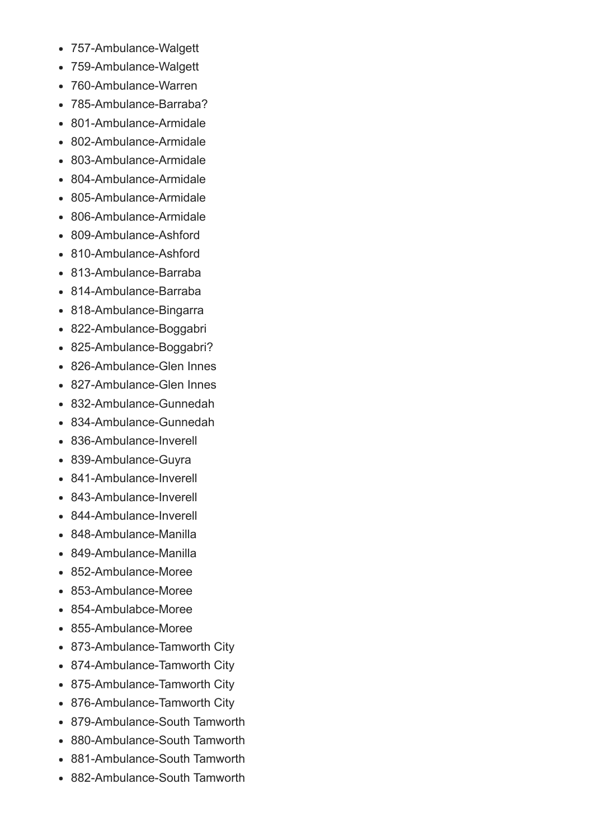- 757-Ambulance-Walgett
- 759-Ambulance-Walgett
- 760-Ambulance-Warren
- 785-Ambulance-Barraba?
- 801-Ambulance-Armidale  $\bullet$
- 802-Ambulance-Armidale
- 803-Ambulance-Armidale
- 804-Ambulance-Armidale
- 805-Ambulance-Armidale
- 806-Ambulance-Armidale
- 809-Ambulance-Ashford  $\bullet$
- 810-Ambulance-Ashford
- 813-Ambulance-Barraba
- 814-Ambulance-Barraba
- 818-Ambulance-Bingarra
- 822-Ambulance-Boggabri
- 825-Ambulance-Boggabri?
- 826-Ambulance-Glen Innes
- 827-Ambulance-Glen Innes
- 832-Ambulance-Gunnedah
- 834-Ambulance-Gunnedah
- 836-Ambulance-Inverell
- 839-Ambulance-Guyra
- 841-Ambulance-Inverell
- 843-Ambulance-Inverell
- 844-Ambulance-Inverell
- 848-Ambulance-Manilla
- $\bullet$  849-Ambulance-Manilla
- 852-Ambulance-Moree  $\bullet$
- 853-Ambulance-Moree
- 854-Ambulabce-Moree
- 855-Ambulance-Moree
- 873-Ambulance-Tamworth City
- 874-Ambulance-Tamworth City
- 875-Ambulance-Tamworth City
- 876-Ambulance-Tamworth City
- 879-Ambulance-South Tamworth
- 880-Ambulance-South Tamworth
- 881-Ambulance-South Tamworth
- 882-Ambulance-South Tamworth